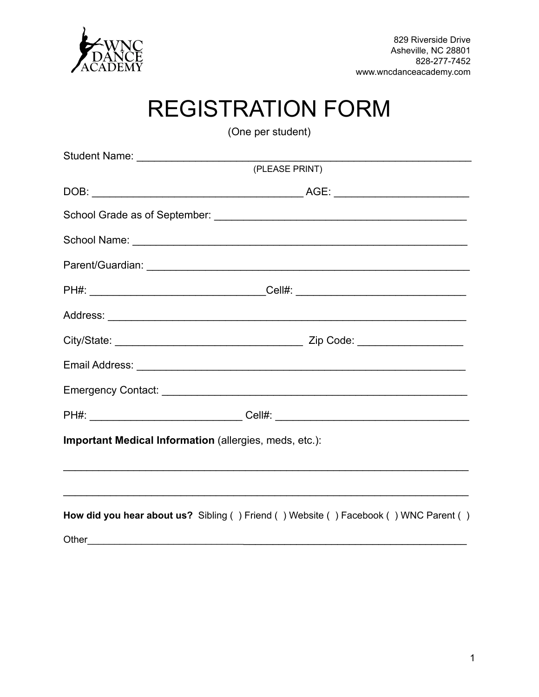

## **REGISTRATION FORM**

(One per student)

| (PLEASE PRINT)                                                                       |
|--------------------------------------------------------------------------------------|
|                                                                                      |
|                                                                                      |
|                                                                                      |
|                                                                                      |
|                                                                                      |
|                                                                                      |
|                                                                                      |
|                                                                                      |
|                                                                                      |
|                                                                                      |
| Important Medical Information (allergies, meds, etc.):                               |
|                                                                                      |
|                                                                                      |
| How did you hear about us? Sibling () Friend () Website () Facebook () WNC Parent () |
|                                                                                      |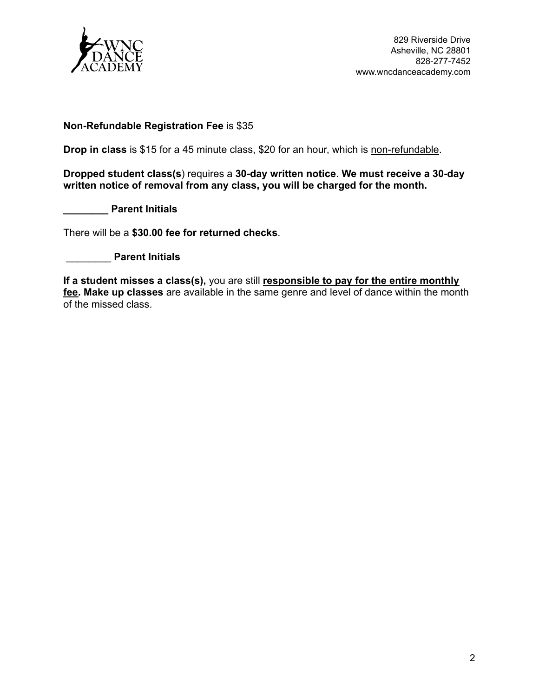

829 Riverside Drive Asheville, NC 28801 828-277-7452 www.wncdanceacademy.com

## **Non-Refundable Registration Fee** is \$35

**Drop in class** is \$15 for a 45 minute class, \$20 for an hour, which is non-refundable.

**Dropped student class(s**) requires a **30-day written notice**. **We must receive a 30-day written notice of removal from any class, you will be charged for the month.**

**\_\_\_\_\_\_\_\_ Parent Initials**

There will be a **\$30.00 fee for returned checks**.

\_\_\_\_\_\_\_\_ **Parent Initials**

**If a student misses a class(s),** you are still **responsible to pay for the entire monthly fee. Make up classes** are available in the same genre and level of dance within the month of the missed class.